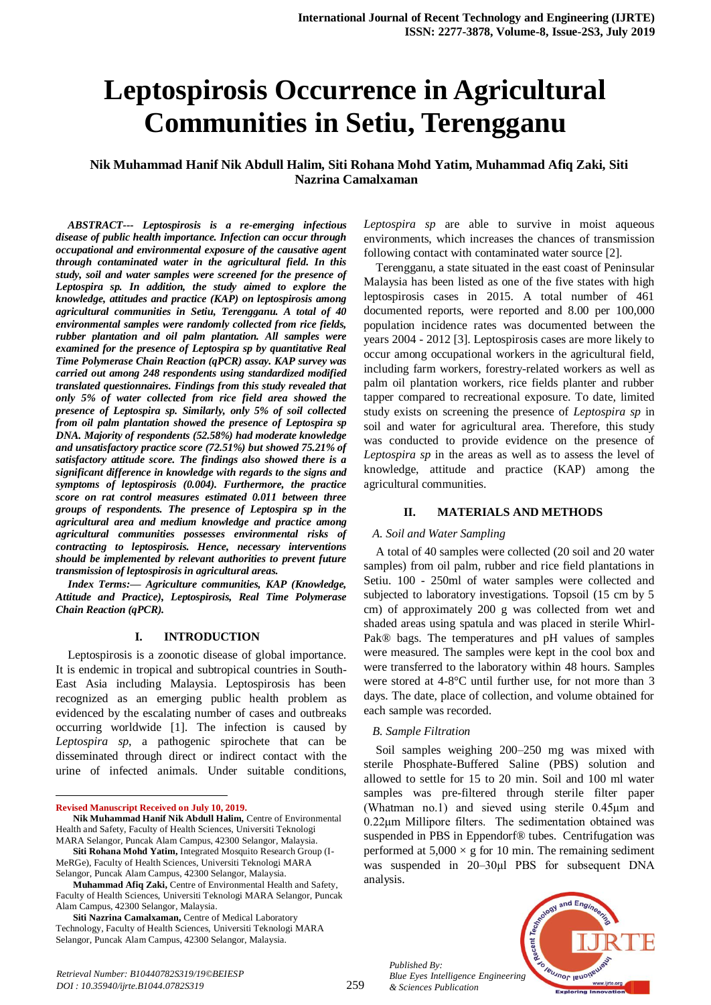# **Leptospirosis Occurrence in Agricultural Communities in Setiu, Terengganu**

**Nik Muhammad Hanif Nik Abdull Halim, Siti Rohana Mohd Yatim, Muhammad Afiq Zaki, Siti Nazrina Camalxaman**

*ABSTRACT--- Leptospirosis is a re-emerging infectious disease of public health importance. Infection can occur through occupational and environmental exposure of the causative agent through contaminated water in the agricultural field. In this study, soil and water samples were screened for the presence of Leptospira sp. In addition, the study aimed to explore the knowledge, attitudes and practice (KAP) on leptospirosis among agricultural communities in Setiu, Terengganu. A total of 40 environmental samples were randomly collected from rice fields, rubber plantation and oil palm plantation. All samples were examined for the presence of Leptospira sp by quantitative Real Time Polymerase Chain Reaction (qPCR) assay. KAP survey was carried out among 248 respondents using standardized modified translated questionnaires. Findings from this study revealed that only 5% of water collected from rice field area showed the presence of Leptospira sp. Similarly, only 5% of soil collected from oil palm plantation showed the presence of Leptospira sp DNA. Majority of respondents (52.58%) had moderate knowledge and unsatisfactory practice score (72.51%) but showed 75.21% of satisfactory attitude score. The findings also showed there is a significant difference in knowledge with regards to the signs and symptoms of leptospirosis (0.004). Furthermore, the practice score on rat control measures estimated 0.011 between three groups of respondents. The presence of Leptospira sp in the agricultural area and medium knowledge and practice among agricultural communities possesses environmental risks of contracting to leptospirosis. Hence, necessary interventions should be implemented by relevant authorities to prevent future transmission of leptospirosis in agricultural areas.*

*Index Terms:— Agriculture communities, KAP (Knowledge, Attitude and Practice), Leptospirosis, Real Time Polymerase Chain Reaction (qPCR).*

## **I. INTRODUCTION**

Leptospirosis is a zoonotic disease of global importance. It is endemic in tropical and subtropical countries in South-East Asia including Malaysia. Leptospirosis has been recognized as an emerging public health problem as evidenced by the escalating number of cases and outbreaks occurring worldwide [1]. The infection is caused by *Leptospira sp*, a pathogenic spirochete that can be disseminated through direct or indirect contact with the urine of infected animals. Under suitable conditions,

**Revised Manuscript Received on July 10, 2019.**

1

*Leptospira sp* are able to survive in moist aqueous environments, which increases the chances of transmission following contact with contaminated water source [2].

Terengganu, a state situated in the east coast of Peninsular Malaysia has been listed as one of the five states with high leptospirosis cases in 2015. A total number of 461 documented reports, were reported and 8.00 per 100,000 population incidence rates was documented between the years 2004 - 2012 [3]. Leptospirosis cases are more likely to occur among occupational workers in the agricultural field, including farm workers, forestry-related workers as well as palm oil plantation workers, rice fields planter and rubber tapper compared to recreational exposure. To date, limited study exists on screening the presence of *Leptospira sp* in soil and water for agricultural area. Therefore, this study was conducted to provide evidence on the presence of *Leptospira sp* in the areas as well as to assess the level of knowledge, attitude and practice (KAP) among the agricultural communities.

### **II. MATERIALS AND METHODS**

### *A. Soil and Water Sampling*

A total of 40 samples were collected (20 soil and 20 water samples) from oil palm, rubber and rice field plantations in Setiu. 100 - 250ml of water samples were collected and subjected to laboratory investigations. Topsoil (15 cm by 5 cm) of approximately 200 g was collected from wet and shaded areas using spatula and was placed in sterile Whirl-Pak® bags. The temperatures and pH values of samples were measured. The samples were kept in the cool box and were transferred to the laboratory within 48 hours. Samples were stored at 4-8°C until further use, for not more than 3 days. The date, place of collection, and volume obtained for each sample was recorded.

### *B. Sample Filtration*

Soil samples weighing 200–250 mg was mixed with sterile Phosphate-Buffered Saline (PBS) solution and allowed to settle for 15 to 20 min. Soil and 100 ml water samples was pre-filtered through sterile filter paper (Whatman no.1) and sieved using sterile 0.45μm and 0.22μm Millipore filters. The sedimentation obtained was suspended in PBS in Eppendorf® tubes. Centrifugation was performed at  $5,000 \times g$  for 10 min. The remaining sediment was suspended in 20–30μl PBS for subsequent DNA analysis.



Nik Muhammad Hanif Nik Abdull Halim, Centre of Environmental Health and Safety, Faculty of Health Sciences, Universiti Teknologi MARA Selangor, Puncak Alam Campus, 42300 Selangor, Malaysia.

**Siti Rohana Mohd Yatim,** Integrated Mosquito Research Group (I-MeRGe), Faculty of Health Sciences, Universiti Teknologi MARA Selangor, Puncak Alam Campus, 42300 Selangor, Malaysia.

**Muhammad Afiq Zaki,** Centre of Environmental Health and Safety, Faculty of Health Sciences, Universiti Teknologi MARA Selangor, Puncak Alam Campus, 42300 Selangor, Malaysia.

**Siti Nazrina Camalxaman,** Centre of Medical Laboratory Technology, Faculty of Health Sciences, Universiti Teknologi MARA Selangor, Puncak Alam Campus, 42300 Selangor, Malaysia.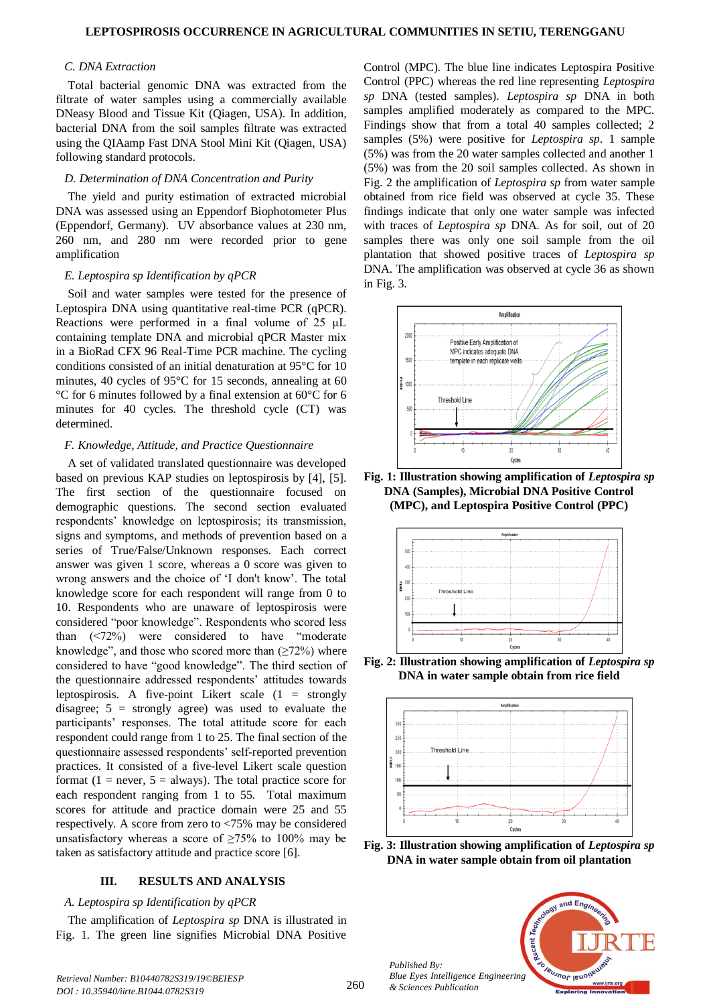### *C. DNA Extraction*

Total bacterial genomic DNA was extracted from the filtrate of water samples using a commercially available DNeasy Blood and Tissue Kit (Qiagen, USA). In addition, bacterial DNA from the soil samples filtrate was extracted using the QIAamp Fast DNA Stool Mini Kit (Qiagen, USA) following standard protocols.

#### *D. Determination of DNA Concentration and Purity*

The yield and purity estimation of extracted microbial DNA was assessed using an Eppendorf Biophotometer Plus (Eppendorf, Germany). UV absorbance values at 230 nm, 260 nm, and 280 nm were recorded prior to gene amplification

#### *E. Leptospira sp Identification by qPCR*

Soil and water samples were tested for the presence of Leptospira DNA using quantitative real-time PCR (qPCR). Reactions were performed in a final volume of 25 μL containing template DNA and microbial qPCR Master mix in a BioRad CFX 96 Real-Time PCR machine. The cycling conditions consisted of an initial denaturation at 95°C for 10 minutes, 40 cycles of 95°C for 15 seconds, annealing at 60 °C for 6 minutes followed by a final extension at 60°C for 6 minutes for 40 cycles. The threshold cycle (CT) was determined.

#### *F. Knowledge, Attitude, and Practice Questionnaire*

A set of validated translated questionnaire was developed based on previous KAP studies on leptospirosis by [4], [5]. The first section of the questionnaire focused on demographic questions. The second section evaluated respondents' knowledge on leptospirosis; its transmission, signs and symptoms, and methods of prevention based on a series of True/False/Unknown responses. Each correct answer was given 1 score, whereas a 0 score was given to wrong answers and the choice of 'I don't know'. The total knowledge score for each respondent will range from 0 to 10. Respondents who are unaware of leptospirosis were considered "poor knowledge". Respondents who scored less than (<72%) were considered to have "moderate knowledge", and those who scored more than  $(\geq 72\%)$  where considered to have "good knowledge". The third section of the questionnaire addressed respondents' attitudes towards leptospirosis. A five-point Likert scale (1 = strongly disagree;  $5 =$  strongly agree) was used to evaluate the participants' responses. The total attitude score for each respondent could range from 1 to 25. The final section of the questionnaire assessed respondents' self-reported prevention practices. It consisted of a five-level Likert scale question format ( $1 =$  never,  $5 =$  always). The total practice score for each respondent ranging from 1 to 55. Total maximum scores for attitude and practice domain were 25 and 55 respectively. A score from zero to <75% may be considered unsatisfactory whereas a score of  $\geq 75\%$  to 100% may be taken as satisfactory attitude and practice score [6].

### **III. RESULTS AND ANALYSIS**

#### *A. Leptospira sp Identification by qPCR*

The amplification of *Leptospira sp* DNA is illustrated in Fig. 1. The green line signifies Microbial DNA Positive Control (MPC). The blue line indicates Leptospira Positive Control (PPC) whereas the red line representing *Leptospira sp* DNA (tested samples). *Leptospira sp* DNA in both samples amplified moderately as compared to the MPC. Findings show that from a total 40 samples collected; 2 samples (5%) were positive for *Leptospira sp*. 1 sample (5%) was from the 20 water samples collected and another 1 (5%) was from the 20 soil samples collected. As shown in Fig. 2 the amplification of *Leptospira sp* from water sample obtained from rice field was observed at cycle 35. These findings indicate that only one water sample was infected with traces of *Leptospira sp* DNA. As for soil, out of 20 samples there was only one soil sample from the oil plantation that showed positive traces of *Leptospira sp* DNA. The amplification was observed at cycle 36 as shown in Fig. 3.



**Fig. 1: Illustration showing amplification of** *Leptospira sp* **DNA (Samples), Microbial DNA Positive Control (MPC), and Leptospira Positive Control (PPC)**



**Fig. 2: Illustration showing amplification of** *Leptospira sp* **DNA in water sample obtain from rice field**



**Fig. 3: Illustration showing amplification of** *Leptospira sp* **DNA in water sample obtain from oil plantation** 

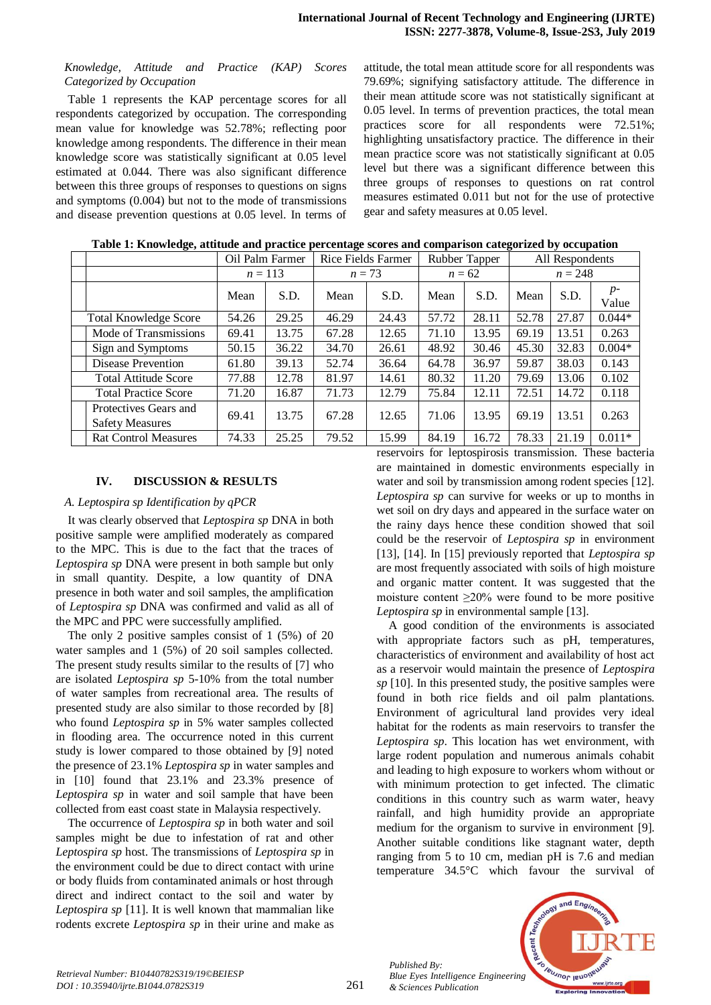## *Knowledge, Attitude and Practice (KAP) Scores Categorized by Occupation*

Table 1 represents the KAP percentage scores for all respondents categorized by occupation. The corresponding mean value for knowledge was 52.78%; reflecting poor knowledge among respondents. The difference in their mean knowledge score was statistically significant at 0.05 level estimated at 0.044. There was also significant difference between this three groups of responses to questions on signs and symptoms (0.004) but not to the mode of transmissions and disease prevention questions at 0.05 level. In terms of

attitude, the total mean attitude score for all respondents was 79.69%; signifying satisfactory attitude. The difference in their mean attitude score was not statistically significant at 0.05 level. In terms of prevention practices, the total mean practices score for all respondents were 72.51%; highlighting unsatisfactory practice. The difference in their mean practice score was not statistically significant at 0.05 level but there was a significant difference between this three groups of responses to questions on rat control measures estimated 0.011 but not for the use of protective gear and safety measures at 0.05 level.

| Tubic 1. Information and the practice percentage secres and comparison categorized by occupation |                 |       |                    |       |               |       |                 |       |               |  |  |  |
|--------------------------------------------------------------------------------------------------|-----------------|-------|--------------------|-------|---------------|-------|-----------------|-------|---------------|--|--|--|
|                                                                                                  | Oil Palm Farmer |       | Rice Fields Farmer |       | Rubber Tapper |       | All Respondents |       |               |  |  |  |
|                                                                                                  | $n = 113$       |       | $n=73$             |       | $n = 62$      |       | $n = 248$       |       |               |  |  |  |
|                                                                                                  | Mean            | S.D.  | Mean               | S.D.  | Mean          | S.D.  | Mean            | S.D.  | $p-$<br>Value |  |  |  |
| <b>Total Knowledge Score</b>                                                                     | 54.26           | 29.25 | 46.29              | 24.43 | 57.72         | 28.11 | 52.78           | 27.87 | $0.044*$      |  |  |  |
| Mode of Transmissions                                                                            | 69.41           | 13.75 | 67.28              | 12.65 | 71.10         | 13.95 | 69.19           | 13.51 | 0.263         |  |  |  |
| Sign and Symptoms                                                                                | 50.15           | 36.22 | 34.70              | 26.61 | 48.92         | 30.46 | 45.30           | 32.83 | $0.004*$      |  |  |  |
| Disease Prevention                                                                               | 61.80           | 39.13 | 52.74              | 36.64 | 64.78         | 36.97 | 59.87           | 38.03 | 0.143         |  |  |  |
| <b>Total Attitude Score</b>                                                                      | 77.88           | 12.78 | 81.97              | 14.61 | 80.32         | 11.20 | 79.69           | 13.06 | 0.102         |  |  |  |
| <b>Total Practice Score</b>                                                                      | 71.20           | 16.87 | 71.73              | 12.79 | 75.84         | 12.11 | 72.51           | 14.72 | 0.118         |  |  |  |
| Protectives Gears and<br><b>Safety Measures</b>                                                  | 69.41           | 13.75 | 67.28              | 12.65 | 71.06         | 13.95 | 69.19           | 13.51 | 0.263         |  |  |  |
| <b>Rat Control Measures</b>                                                                      | 74.33           | 25.25 | 79.52              | 15.99 | 84.19         | 16.72 | 78.33           | 21.19 | $0.011*$      |  |  |  |

| Table 1: Knowledge, attitude and practice percentage scores and comparison categorized by occupation |  |  |  |  |
|------------------------------------------------------------------------------------------------------|--|--|--|--|
|                                                                                                      |  |  |  |  |

# **IV. DISCUSSION & RESULTS**

## *A. Leptospira sp Identification by qPCR*

It was clearly observed that *Leptospira sp* DNA in both positive sample were amplified moderately as compared to the MPC. This is due to the fact that the traces of *Leptospira sp* DNA were present in both sample but only in small quantity. Despite, a low quantity of DNA presence in both water and soil samples, the amplification of *Leptospira sp* DNA was confirmed and valid as all of the MPC and PPC were successfully amplified.

The only 2 positive samples consist of 1 (5%) of 20 water samples and 1 (5%) of 20 soil samples collected. The present study results similar to the results of [7] who are isolated *Leptospira sp* 5-10% from the total number of water samples from recreational area. The results of presented study are also similar to those recorded by [8] who found *Leptospira sp* in 5% water samples collected in flooding area. The occurrence noted in this current study is lower compared to those obtained by [9] noted the presence of 23.1% *Leptospira sp* in water samples and in [10] found that 23.1% and 23.3% presence of *Leptospira sp* in water and soil sample that have been collected from east coast state in Malaysia respectively.

The occurrence of *Leptospira sp* in both water and soil samples might be due to infestation of rat and other *Leptospira sp* host. The transmissions of *Leptospira sp* in the environment could be due to direct contact with urine or body fluids from contaminated animals or host through direct and indirect contact to the soil and water by *Leptospira sp* [11]. It is well known that mammalian like rodents excrete *Leptospira sp* in their urine and make as reservoirs for leptospirosis transmission. These bacteria are maintained in domestic environments especially in water and soil by transmission among rodent species [12]. *Leptospira sp* can survive for weeks or up to months in wet soil on dry days and appeared in the surface water on the rainy days hence these condition showed that soil could be the reservoir of *Leptospira sp* in environment [13], [14]. In [15] previously reported that *Leptospira sp* are most frequently associated with soils of high moisture and organic matter content. It was suggested that the moisture content  $\geq 20\%$  were found to be more positive *Leptospira sp* in environmental sample [13].

A good condition of the environments is associated with appropriate factors such as pH, temperatures, characteristics of environment and availability of host act as a reservoir would maintain the presence of *Leptospira sp* [10]. In this presented study, the positive samples were found in both rice fields and oil palm plantations. Environment of agricultural land provides very ideal habitat for the rodents as main reservoirs to transfer the *Leptospira sp*. This location has wet environment, with large rodent population and numerous animals cohabit and leading to high exposure to workers whom without or with minimum protection to get infected. The climatic conditions in this country such as warm water, heavy rainfall, and high humidity provide an appropriate medium for the organism to survive in environment [9]. Another suitable conditions like stagnant water, depth ranging from 5 to 10 cm, median pH is 7.6 and median temperature 34.5°C which favour the survival of

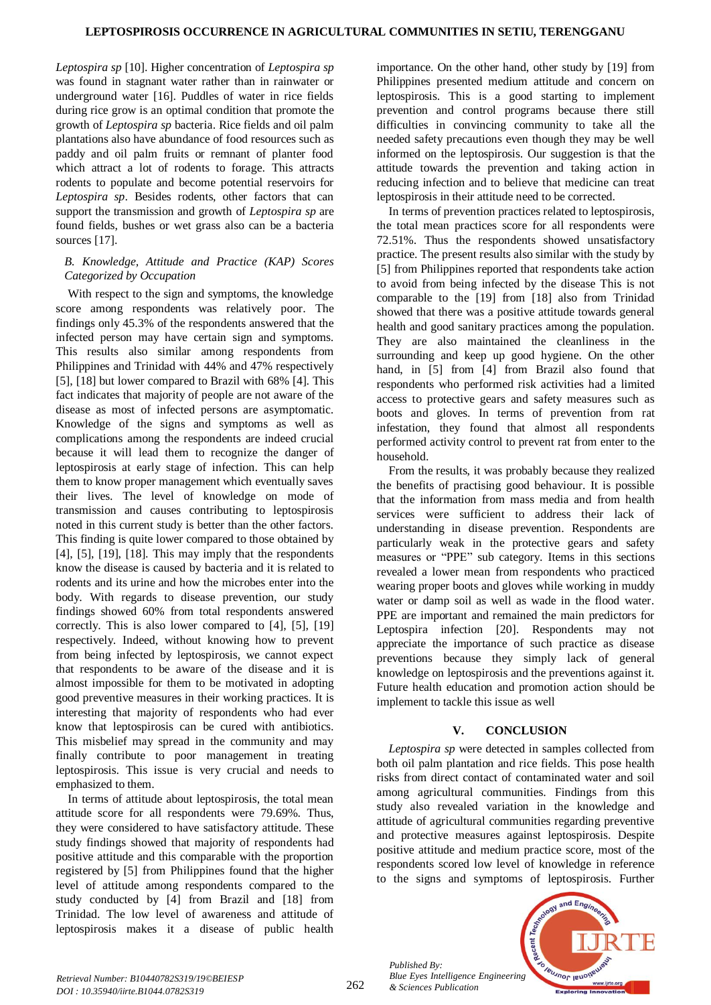*Leptospira sp* [10]. Higher concentration of *Leptospira sp* was found in stagnant water rather than in rainwater or underground water [16]. Puddles of water in rice fields during rice grow is an optimal condition that promote the growth of *Leptospira sp* bacteria. Rice fields and oil palm plantations also have abundance of food resources such as paddy and oil palm fruits or remnant of planter food which attract a lot of rodents to forage. This attracts rodents to populate and become potential reservoirs for *Leptospira sp*. Besides rodents, other factors that can support the transmission and growth of *Leptospira sp* are found fields, bushes or wet grass also can be a bacteria sources [17].

## *B. Knowledge, Attitude and Practice (KAP) Scores Categorized by Occupation*

With respect to the sign and symptoms, the knowledge score among respondents was relatively poor. The findings only 45.3% of the respondents answered that the infected person may have certain sign and symptoms. This results also similar among respondents from Philippines and Trinidad with 44% and 47% respectively [5], [18] but lower compared to Brazil with 68% [4]. This fact indicates that majority of people are not aware of the disease as most of infected persons are asymptomatic. Knowledge of the signs and symptoms as well as complications among the respondents are indeed crucial because it will lead them to recognize the danger of leptospirosis at early stage of infection. This can help them to know proper management which eventually saves their lives. The level of knowledge on mode of transmission and causes contributing to leptospirosis noted in this current study is better than the other factors. This finding is quite lower compared to those obtained by [4], [5], [19], [18]. This may imply that the respondents know the disease is caused by bacteria and it is related to rodents and its urine and how the microbes enter into the body. With regards to disease prevention, our study findings showed 60% from total respondents answered correctly. This is also lower compared to [4], [5], [19] respectively. Indeed, without knowing how to prevent from being infected by leptospirosis, we cannot expect that respondents to be aware of the disease and it is almost impossible for them to be motivated in adopting good preventive measures in their working practices. It is interesting that majority of respondents who had ever know that leptospirosis can be cured with antibiotics. This misbelief may spread in the community and may finally contribute to poor management in treating leptospirosis. This issue is very crucial and needs to emphasized to them.

In terms of attitude about leptospirosis, the total mean attitude score for all respondents were 79.69%. Thus, they were considered to have satisfactory attitude. These study findings showed that majority of respondents had positive attitude and this comparable with the proportion registered by [5] from Philippines found that the higher level of attitude among respondents compared to the study conducted by [4] from Brazil and [18] from Trinidad. The low level of awareness and attitude of leptospirosis makes it a disease of public health

importance. On the other hand, other study by [19] from Philippines presented medium attitude and concern on leptospirosis. This is a good starting to implement prevention and control programs because there still difficulties in convincing community to take all the needed safety precautions even though they may be well informed on the leptospirosis. Our suggestion is that the attitude towards the prevention and taking action in reducing infection and to believe that medicine can treat leptospirosis in their attitude need to be corrected.

In terms of prevention practices related to leptospirosis, the total mean practices score for all respondents were 72.51%. Thus the respondents showed unsatisfactory practice. The present results also similar with the study by [5] from Philippines reported that respondents take action to avoid from being infected by the disease This is not comparable to the [19] from [18] also from Trinidad showed that there was a positive attitude towards general health and good sanitary practices among the population. They are also maintained the cleanliness in the surrounding and keep up good hygiene. On the other hand, in [5] from [4] from Brazil also found that respondents who performed risk activities had a limited access to protective gears and safety measures such as boots and gloves. In terms of prevention from rat infestation, they found that almost all respondents performed activity control to prevent rat from enter to the household.

From the results, it was probably because they realized the benefits of practising good behaviour. It is possible that the information from mass media and from health services were sufficient to address their lack of understanding in disease prevention. Respondents are particularly weak in the protective gears and safety measures or "PPE" sub category. Items in this sections revealed a lower mean from respondents who practiced wearing proper boots and gloves while working in muddy water or damp soil as well as wade in the flood water. PPE are important and remained the main predictors for Leptospira infection [20]. Respondents may not appreciate the importance of such practice as disease preventions because they simply lack of general knowledge on leptospirosis and the preventions against it. Future health education and promotion action should be implement to tackle this issue as well

# **V. CONCLUSION**

*Leptospira sp* were detected in samples collected from both oil palm plantation and rice fields. This pose health risks from direct contact of contaminated water and soil among agricultural communities. Findings from this study also revealed variation in the knowledge and attitude of agricultural communities regarding preventive and protective measures against leptospirosis. Despite positive attitude and medium practice score, most of the respondents scored low level of knowledge in reference to the signs and symptoms of leptospirosis. Further